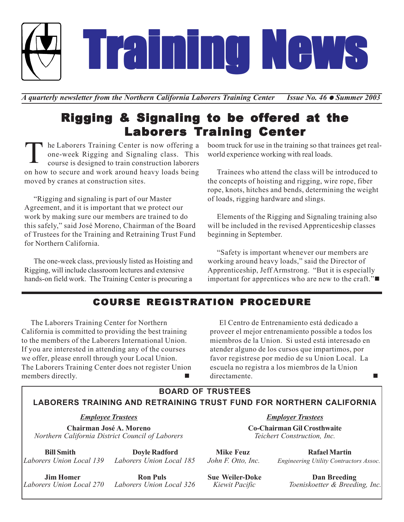

*A* quarterly newsletter from the Northern California Laborers Training Center *Issue No.* 46 ● Summer 2003

# Rigging & Signaling to be offered at the **Laborers Training Center**

he Laborers Training Center is now offering a one-week Rigging and Signaling class. This course is designed to train construction laborers on how to secure and work around heavy loads being moved by cranes at construction sites. T

"Rigging and signaling is part of our Master Agreement, and it is important that we protect our work by making sure our members are trained to do this safely," said José Moreno, Chairman of the Board of Trustees for the Training and Retraining Trust Fund for Northern California.

The one-week class, previously listed as Hoisting and Rigging, will include classroom lectures and extensive hands-on field work. The Training Center is procuring a

boom truck for use in the training so that trainees get realworld experience working with real loads.

Trainees who attend the class will be introduced to the concepts of hoisting and rigging, wire rope, fiber rope, knots, hitches and bends, determining the weight of loads, rigging hardware and slings.

Elements of the Rigging and Signaling training also will be included in the revised Apprenticeship classes beginning in September.

"Safety is important whenever our members are working around heavy loads," said the Director of Apprenticeship, Jeff Armstrong. "But it is especially important for apprentices who are new to the craft."

## COURSE REGISTRATION PROCEDURE

The Laborers Training Center for Northern California is committed to providing the best training to the members of the Laborers International Union. If you are interested in attending any of the courses we offer, please enroll through your Local Union. The Laborers Training Center does not register Union members directly.

El Centro de Entrenamiento está dedicado a proveer el mejor entrenamiento possible a todos los miembros de la Union. Si usted está interesado en atender alguno de los cursos que impartimos, por favor registrese por medio de su Union Local. La escuela no registra a los miembros de la Union directamente.

**BOARD OF TRUSTEES**

#### **LABORERS TRAINING AND RETRAINING TRUST FUND FOR NORTHERN CALIFORNIA**

#### *Employee Trustees*

**Chairman José A. Moreno** *Northern California District Council of Laborers*

**Bill Smith Doyle Radford**  *Laborers Union Local 139 Laborers Union Local 185*

**Jim Homer Ron Puls**<br>*Laborers Union Local 270 Laborers Union I* 

 *Laborers Union Local 270 Laborers Union Local 326*

*Employer Trustees*

**Co-Chairman Gil Crosthwaite** *Teichert Construction, Inc.*

**Mike Feuz Rafael Martin** *John F. Otto, Inc. Engineering Utility Contractors Assoc.*

**Sue Weiler-Doke Dan Breeding**  *Kiewit Pacific Toeniskoetter & Breeding, Inc.*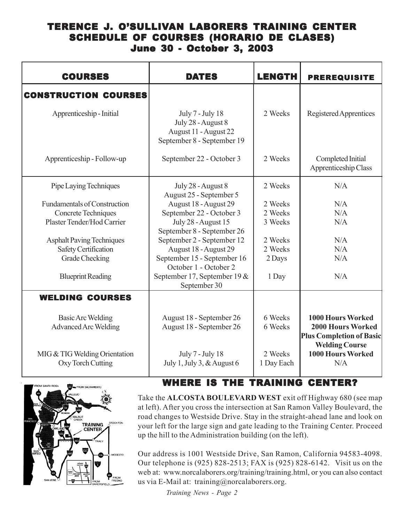#### TERENCE J. O'SULLIVAN LABORERS TRAINING CENTER SCHEDULE OF COURSES (HORARIO DE CLASES) June 30 - October 3, 2003

| <b>COURSES</b>                                     | <b>DATES</b>                                                                                  | <b>LENGTH</b>         | <b>PREREQUISITE</b>                                                                  |
|----------------------------------------------------|-----------------------------------------------------------------------------------------------|-----------------------|--------------------------------------------------------------------------------------|
| <b>CONSTRUCTION COURSES</b>                        |                                                                                               |                       |                                                                                      |
| Apprenticeship - Initial                           | July 7 - July 18<br>July 28 - August 8<br>August 11 - August 22<br>September 8 - September 19 | 2 Weeks               | Registered Apprentices                                                               |
| Apprenticeship - Follow-up                         | September 22 - October 3                                                                      | 2 Weeks               | Completed Initial<br>Apprenticeship Class                                            |
| Pipe Laying Techniques                             | July 28 - August 8<br>August 25 - September 5                                                 | 2 Weeks               | N/A                                                                                  |
| <b>Fundamentals of Construction</b>                | August 18 - August 29                                                                         | 2 Weeks               | N/A                                                                                  |
| Concrete Techniques                                | September 22 - October 3                                                                      | 2 Weeks               | N/A                                                                                  |
| Plaster Tender/Hod Carrier                         | July 28 - August 15<br>September 8 - September 26                                             | 3 Weeks               | N/A                                                                                  |
| <b>Asphalt Paving Techniques</b>                   | September 2 - September 12                                                                    | 2 Weeks               | N/A                                                                                  |
| Safety Certification                               | August 18 - August 29                                                                         | 2 Weeks               | N/A                                                                                  |
| Grade Checking                                     | September 15 - September 16<br>October 1 - October 2                                          | 2 Days                | N/A                                                                                  |
| <b>Blueprint Reading</b>                           | September 17, September 19 &<br>September 30                                                  | 1 Day                 | N/A                                                                                  |
| <b>WELDING COURSES</b>                             |                                                                                               |                       |                                                                                      |
| <b>Basic Arc Welding</b>                           | August 18 - September 26                                                                      | 6 Weeks               | 1000 Hours Worked                                                                    |
| <b>Advanced Arc Welding</b>                        | August 18 - September 26                                                                      | 6 Weeks               | <b>2000 Hours Worked</b><br><b>Plus Completion of Basic</b><br><b>Welding Course</b> |
| MIG & TIG Welding Orientation<br>Oxy Torch Cutting | July 7 - July 18<br>July 1, July 3, & August 6                                                | 2 Weeks<br>1 Day Each | 1000 Hours Worked<br>N/A                                                             |



### WHERE IS THE TRAINING CENTER?

Take the **ALCOSTA BOULEVARD WEST** exit off Highway 680 (see map at left). After you cross the intersection at San Ramon Valley Boulevard, the road changes to Westside Drive. Stay in the straight-ahead lane and look on your left for the large sign and gate leading to the Training Center. Proceed up the hill to the Administration building (on the left).

Our address is 1001 Westside Drive, San Ramon, California 94583-4098. Our telephone is (925) 828-2513; FAX is (925) 828-6142. Visit us on the web at: www.norcalaborers.org/training/training.html, or you can also contact us via E-Mail at: training@norcalaborers.org.

*Training News - Page 2*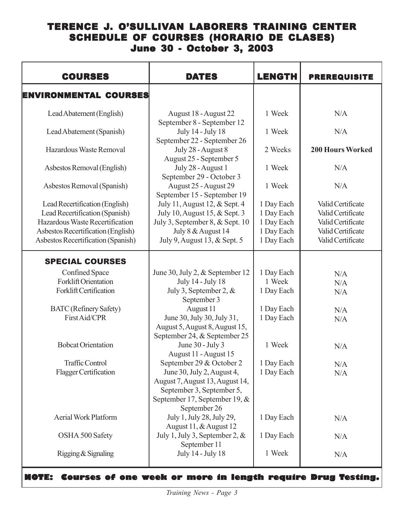### TERENCE J. O'SULLIVAN LABORERS TRAINING CENTER SCHEDULE OF COURSES (HORARIO DE CLASES) June 30 - October 3, 2003

| <b>COURSES</b>                                                                                                                                                                  | <b>DATES</b>                                                                                                                                                               | <b>LENGTH</b>                                                      | <b>PREREQUISITE</b>                                                                                   |
|---------------------------------------------------------------------------------------------------------------------------------------------------------------------------------|----------------------------------------------------------------------------------------------------------------------------------------------------------------------------|--------------------------------------------------------------------|-------------------------------------------------------------------------------------------------------|
| ENVIRONMENTAL COURSES                                                                                                                                                           |                                                                                                                                                                            |                                                                    |                                                                                                       |
| Lead Abatement (English)                                                                                                                                                        | August 18 - August 22<br>September 8 - September 12                                                                                                                        | 1 Week                                                             | N/A                                                                                                   |
| Lead Abatement (Spanish)                                                                                                                                                        | July 14 - July 18<br>September 22 - September 26                                                                                                                           | 1 Week                                                             | N/A                                                                                                   |
| Hazardous Waste Removal                                                                                                                                                         | July 28 - August 8<br>August 25 - September 5                                                                                                                              | 2 Weeks                                                            | <b>200 Hours Worked</b>                                                                               |
| Asbestos Removal (English)                                                                                                                                                      | July 28 - August 1<br>September 29 - October 3                                                                                                                             | 1 Week                                                             | N/A                                                                                                   |
| Asbestos Removal (Spanish)                                                                                                                                                      | August 25 - August 29<br>September 15 - September 19                                                                                                                       | 1 Week                                                             | N/A                                                                                                   |
| Lead Recertification (English)<br>Lead Recertification (Spanish)<br>Hazardous Waste Recertification<br>Asbestos Recertification (English)<br>Asbestos Recertification (Spanish) | July 11, August 12, & Sept. 4<br>July 10, August 15, & Sept. 3<br>July 3, September 8, & Sept. 10<br>July 8 & August 14<br>July 9, August 13, & Sept. 5                    | 1 Day Each<br>1 Day Each<br>1 Day Each<br>1 Day Each<br>1 Day Each | Valid Certificate<br>Valid Certificate<br>Valid Certificate<br>Valid Certificate<br>Valid Certificate |
| <b>SPECIAL COURSES</b>                                                                                                                                                          |                                                                                                                                                                            |                                                                    |                                                                                                       |
| <b>Confined Space</b><br><b>Forklift Orientation</b><br>Forklift Certification                                                                                                  | June 30, July 2, & September 12<br>July 14 - July 18<br>July 3, September 2, $&$<br>September 3                                                                            | 1 Day Each<br>1 Week<br>1 Day Each                                 | N/A<br>N/A<br>N/A                                                                                     |
| <b>BATC</b> (Refinery Safety)<br>First Aid/CPR                                                                                                                                  | August 11<br>June 30, July 30, July 31,<br>August 5, August 8, August 15,<br>September 24, & September 25                                                                  | 1 Day Each<br>1 Day Each                                           | N/A<br>N/A                                                                                            |
| <b>Bobcat Orientation</b>                                                                                                                                                       | June 30 - July 3<br>August 11 - August 15                                                                                                                                  | 1 Week                                                             | N/A                                                                                                   |
| <b>Traffic Control</b><br><b>Flagger Certification</b>                                                                                                                          | September 29 & October 2<br>June 30, July 2, August 4,<br>August 7, August 13, August 14,<br>September 3, September 5,<br>September 17, September 19, $\&$<br>September 26 | 1 Day Each<br>1 Day Each                                           | N/A<br>N/A                                                                                            |
| <b>Aerial Work Platform</b>                                                                                                                                                     | July 1, July 28, July 29,<br>August 11, & August 12                                                                                                                        | 1 Day Each                                                         | N/A                                                                                                   |
| OSHA 500 Safety                                                                                                                                                                 | July 1, July 3, September 2, $\&$<br>September 11                                                                                                                          | 1 Day Each                                                         | N/A                                                                                                   |
| Rigging & Signaling                                                                                                                                                             | July 14 - July 18                                                                                                                                                          | 1 Week                                                             | N/A                                                                                                   |

**NOTE: Courses of one week or more in length require Drug Testing.**